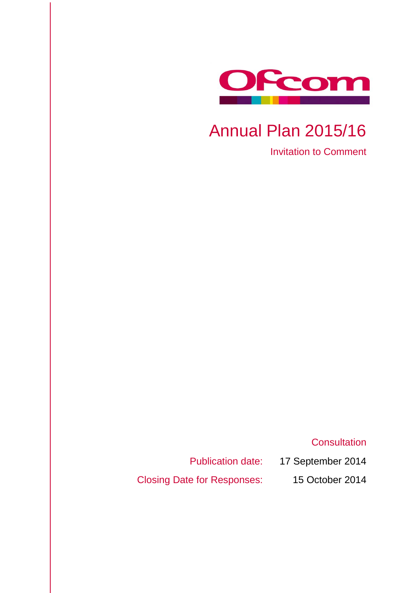

# Annual Plan 2015/16

Invitation to Comment

**Consultation** 

Publication date: 17 September 2014

Closing Date for Responses: 15 October 2014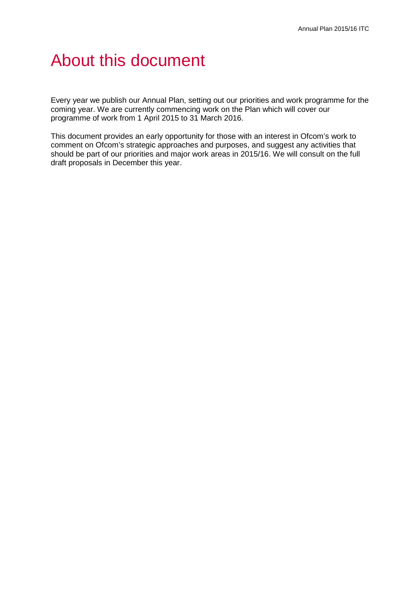# About this document

Every year we publish our Annual Plan, setting out our priorities and work programme for the coming year. We are currently commencing work on the Plan which will cover our programme of work from 1 April 2015 to 31 March 2016.

This document provides an early opportunity for those with an interest in Ofcom's work to comment on Ofcom's strategic approaches and purposes, and suggest any activities that should be part of our priorities and major work areas in 2015/16. We will consult on the full draft proposals in December this year.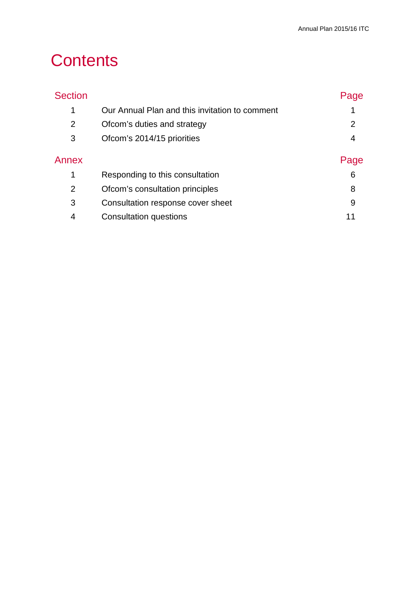# **Contents**

| <b>Section</b> |                                                | Page |
|----------------|------------------------------------------------|------|
| 1              | Our Annual Plan and this invitation to comment |      |
| 2              | Ofcom's duties and strategy                    | 2    |
| 3              | Ofcom's 2014/15 priorities                     | 4    |
| Annex          |                                                | Page |
| 1              | Responding to this consultation                | 6    |
| 2              | Ofcom's consultation principles                | 8    |
| 3              | Consultation response cover sheet              | 9    |
| 4              | <b>Consultation questions</b>                  | 11   |
|                |                                                |      |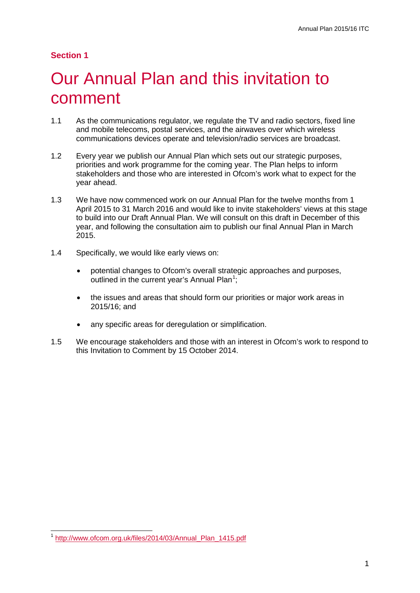#### **Section 1**

# <span id="page-3-0"></span>1 Our Annual Plan and this invitation to comment

- 1.1 As the communications regulator, we regulate the TV and radio sectors, fixed line and mobile telecoms, postal services, and the airwaves over which wireless communications devices operate and television/radio services are broadcast.
- 1.2 Every year we publish our Annual Plan which sets out our strategic purposes, priorities and work programme for the coming year. The Plan helps to inform stakeholders and those who are interested in Ofcom's work what to expect for the year ahead.
- 1.3 We have now commenced work on our Annual Plan for the twelve months from 1 April 2015 to 31 March 2016 and would like to invite stakeholders' views at this stage to build into our Draft Annual Plan. We will consult on this draft in December of this year, and following the consultation aim to publish our final Annual Plan in March 2015.
- 1.4 Specifically, we would like early views on:
	- potential changes to Ofcom's overall strategic approaches and purposes, outlined in the current year's Annual Plan<sup>[1](#page-3-1)</sup>;
	- the issues and areas that should form our priorities or major work areas in 2015/16; and
	- any specific areas for deregulation or simplification.
- 1.5 We encourage stakeholders and those with an interest in Ofcom's work to respond to this Invitation to Comment by 15 October 2014.

 $\overline{a}$ 

<span id="page-3-1"></span><sup>1</sup> [http://www.ofcom.org.uk/files/2014/03/Annual\\_Plan\\_1415.pdf](http://www.ofcom.org.uk/files/2014/03/Annual_Plan_1415.pdf)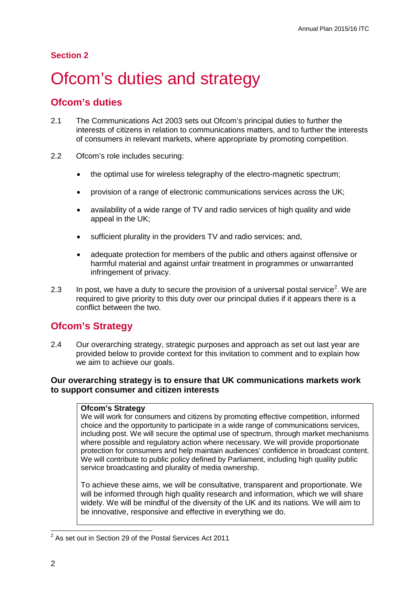#### **Section 2**

# <span id="page-4-0"></span>Ofcom's duties and strategy

### **Ofcom's duties**

- 2.1 The Communications Act 2003 sets out Ofcom's principal duties to further the interests of citizens in relation to communications matters, and to further the interests of consumers in relevant markets, where appropriate by promoting competition.
- 2.2 Ofcom's role includes securing:
	- the optimal use for wireless telegraphy of the electro-magnetic spectrum;
	- provision of a range of electronic communications services across the UK;
	- availability of a wide range of TV and radio services of high quality and wide appeal in the UK;
	- sufficient plurality in the providers TV and radio services; and,
	- adequate protection for members of the public and others against offensive or harmful material and against unfair treatment in programmes or unwarranted infringement of privacy.
- [2](#page-4-1).3 In post, we have a duty to secure the provision of a universal postal service<sup>2</sup>. We are required to give priority to this duty over our principal duties if it appears there is a conflict between the two.

## **Ofcom's Strategy**

2.4 Our overarching strategy, strategic purposes and approach as set out last year are provided below to provide context for this invitation to comment and to explain how we aim to achieve our goals.

#### **Our overarching strategy is to ensure that UK communications markets work to support consumer and citizen interests**

#### **Ofcom's Strategy**

We will work for consumers and citizens by promoting effective competition, informed choice and the opportunity to participate in a wide range of communications services, including post. We will secure the optimal use of spectrum, through market mechanisms where possible and regulatory action where necessary. We will provide proportionate protection for consumers and help maintain audiences' confidence in broadcast content. We will contribute to public policy defined by Parliament, including high quality public service broadcasting and plurality of media ownership.

To achieve these aims, we will be consultative, transparent and proportionate. We will be informed through high quality research and information, which we will share widely. We will be mindful of the diversity of the UK and its nations. We will aim to be innovative, responsive and effective in everything we do.

<span id="page-4-1"></span> $2^{2}$  As set out in Section 29 of the Postal Services Act 2011  $\overline{a}$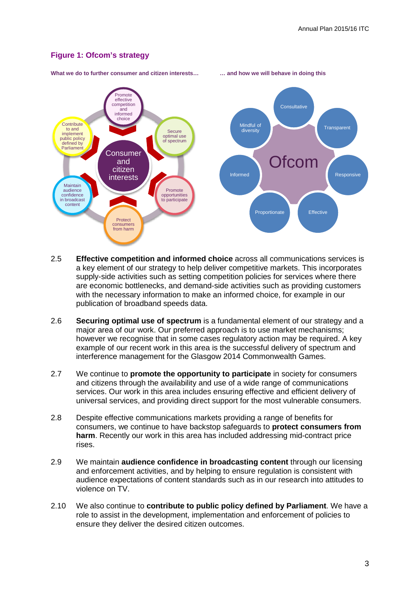#### **Figure 1: Ofcom's strategy**



**What we do to further consumer and citizen interests… … and how we will behave in doing this**

- 2.5 **Effective competition and informed choice** across all communications services is a key element of our strategy to help deliver competitive markets. This incorporates supply-side activities such as setting competition policies for services where there are economic bottlenecks, and demand-side activities such as providing customers with the necessary information to make an informed choice, for example in our publication of broadband speeds data.
- 2.6 **Securing optimal use of spectrum** is a fundamental element of our strategy and a major area of our work. Our preferred approach is to use market mechanisms; however we recognise that in some cases regulatory action may be required. A key example of our recent work in this area is the successful delivery of spectrum and interference management for the Glasgow 2014 Commonwealth Games.
- 2.7 We continue to **promote the opportunity to participate** in society for consumers and citizens through the availability and use of a wide range of communications services. Our work in this area includes ensuring effective and efficient delivery of universal services, and providing direct support for the most vulnerable consumers.
- 2.8 Despite effective communications markets providing a range of benefits for consumers, we continue to have backstop safeguards to **protect consumers from harm**. Recently our work in this area has included addressing mid-contract price rises.
- 2.9 We maintain **audience confidence in broadcasting content** through our licensing and enforcement activities, and by helping to ensure regulation is consistent with audience expectations of content standards such as in our research into attitudes to violence on TV.
- 2.10 We also continue to **contribute to public policy defined by Parliament**. We have a role to assist in the development, implementation and enforcement of policies to ensure they deliver the desired citizen outcomes.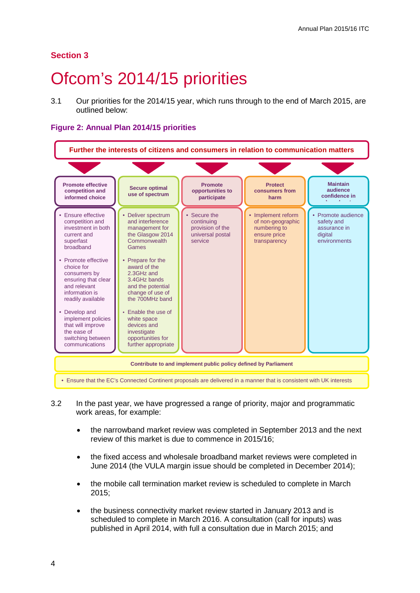### **Section 3**

# <span id="page-6-0"></span>Ofcom's 2014/15 priorities

3.1 Our priorities for the 2014/15 year, which runs through to the end of March 2015, are outlined below:

#### **Figure 2: Annual Plan 2014/15 priorities**



- 3.2 In the past year, we have progressed a range of priority, major and programmatic work areas, for example:
	- the narrowband market review was completed in September 2013 and the next review of this market is due to commence in 2015/16;
	- the fixed access and wholesale broadband market reviews were completed in June 2014 (the VULA margin issue should be completed in December 2014);
	- the mobile call termination market review is scheduled to complete in March 2015;
	- the business connectivity market review started in January 2013 and is scheduled to complete in March 2016. A consultation (call for inputs) was published in April 2014, with full a consultation due in March 2015; and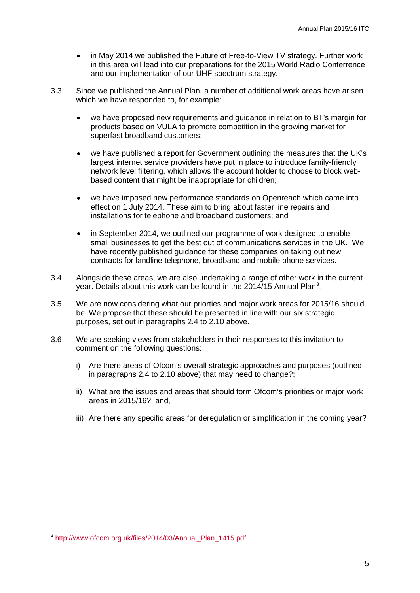- in May 2014 we published the Future of Free-to-View TV strategy. Further work in this area will lead into our preparations for the 2015 World Radio Conferrence and our implementation of our UHF spectrum strategy.
- 3.3 Since we published the Annual Plan, a number of additional work areas have arisen which we have responded to, for example:
	- we have proposed new requirements and guidance in relation to BT's margin for products based on VULA to promote competition in the growing market for superfast broadband customers;
	- we have published a report for Government outlining the measures that the UK's largest internet service providers have put in place to introduce family-friendly network level filtering, which allows the account holder to choose to block webbased content that might be inappropriate for children;
	- we have imposed new performance standards on Openreach which came into effect on 1 July 2014. These aim to bring about faster line repairs and installations for telephone and broadband customers; and
	- in September 2014, we outlined our programme of work designed to enable small businesses to get the best out of communications services in the UK. We have recently published guidance for these companies on taking out new contracts for landline telephone, broadband and mobile phone services.
- 3.4 Alongside these areas, we are also undertaking a range of other work in the current year. Details about this work can be found in the 2014/15 Annual Plan<sup>[3](#page-7-0)</sup>.
- 3.5 We are now considering what our priorties and major work areas for 2015/16 should be. We propose that these should be presented in line with our six strategic purposes, set out in paragraphs 2.4 to 2.10 above.
- 3.6 We are seeking views from stakeholders in their responses to this invitation to comment on the following questions:
	- i) Are there areas of Ofcom's overall strategic approaches and purposes (outlined in paragraphs 2.4 to 2.10 above) that may need to change?;
	- ii) What are the issues and areas that should form Ofcom's priorities or major work areas in 2015/16?; and,
	- iii) Are there any specific areas for deregulation or simplification in the coming year?

<span id="page-7-0"></span><sup>&</sup>lt;sup>3</sup> [http://www.ofcom.org.uk/files/2014/03/Annual\\_Plan\\_1415.pdf](http://www.ofcom.org.uk/files/2014/03/Annual_Plan_1415.pdf)  $\overline{a}$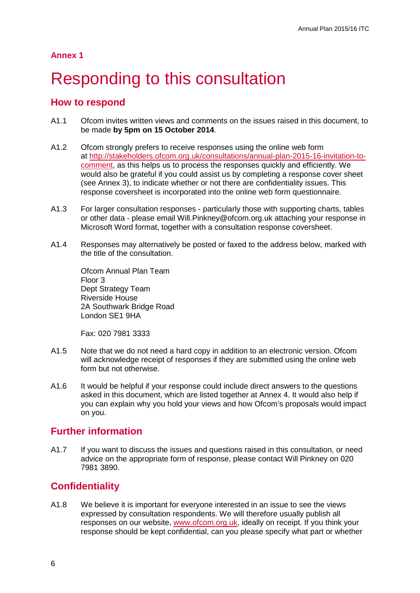# <span id="page-8-0"></span>Responding to this consultation

#### **How to respond**

- A1.1 Ofcom invites written views and comments on the issues raised in this document, to be made **by 5pm on 15 October 2014**.
- A1.2 Ofcom strongly prefers to receive responses using the online web form at [http://stakeholders.ofcom.org.uk/consultations/annual-plan-2015-16-invitation-to](http://stakeholders.ofcom.org.uk/consultations/annual-plan-2015-16-invitation-to-comment)[comment,](http://stakeholders.ofcom.org.uk/consultations/annual-plan-2015-16-invitation-to-comment) as this helps us to process the responses quickly and efficiently. We would also be grateful if you could assist us by completing a response cover sheet (see Annex 3), to indicate whether or not there are confidentiality issues. This response coversheet is incorporated into the online web form questionnaire.
- A1.3 For larger consultation responses particularly those with supporting charts, tables or other data - please email Will.Pinkney@ofcom.org.uk attaching your response in Microsoft Word format, together with a consultation response coversheet.
- A1.4 Responses may alternatively be posted or faxed to the address below, marked with the title of the consultation.

Ofcom Annual Plan Team Floor 3 Dept Strategy Team Riverside House 2A Southwark Bridge Road London SE1 9HA

Fax: 020 7981 3333

- A1.5 Note that we do not need a hard copy in addition to an electronic version. Ofcom will acknowledge receipt of responses if they are submitted using the online web form but not otherwise.
- A1.6 It would be helpful if your response could include direct answers to the questions asked in this document, which are listed together at Annex 4. It would also help if you can explain why you hold your views and how Ofcom's proposals would impact on you.

### **Further information**

A1.7 If you want to discuss the issues and questions raised in this consultation, or need advice on the appropriate form of response, please contact Will Pinkney on 020 7981 3890.

### **Confidentiality**

A1.8 We believe it is important for everyone interested in an issue to see the views expressed by consultation respondents. We will therefore usually publish all responses on our website, [www.ofcom.org.uk,](http://www.ofcom.org.uk/) ideally on receipt. If you think your response should be kept confidential, can you please specify what part or whether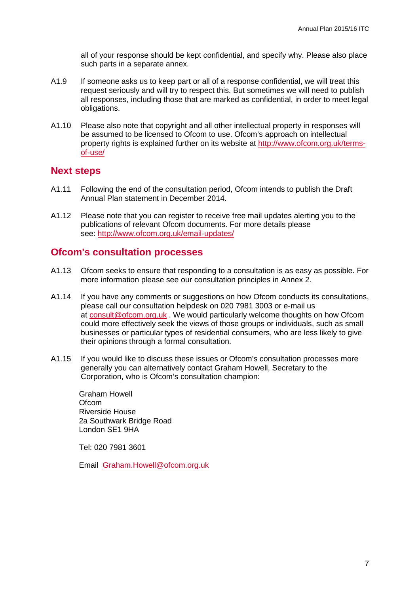all of your response should be kept confidential, and specify why. Please also place such parts in a separate annex.

- A1.9 If someone asks us to keep part or all of a response confidential, we will treat this request seriously and will try to respect this. But sometimes we will need to publish all responses, including those that are marked as confidential, in order to meet legal obligations.
- A1.10 Please also note that copyright and all other intellectual property in responses will be assumed to be licensed to Ofcom to use. Ofcom's approach on intellectual property rights is explained further on its website at [http://www.ofcom.org.uk/terms](http://www.ofcom.org.uk/terms-of-use/)[of-use/](http://www.ofcom.org.uk/terms-of-use/)

#### **Next steps**

- A1.11 Following the end of the consultation period, Ofcom intends to publish the Draft Annual Plan statement in December 2014.
- A1.12 Please note that you can register to receive free mail updates alerting you to the publications of relevant Ofcom documents. For more details please see:<http://www.ofcom.org.uk/email-updates/>

#### **Ofcom's consultation processes**

- A1.13 Ofcom seeks to ensure that responding to a consultation is as easy as possible. For more information please see our consultation principles in Annex 2.
- A1.14 If you have any comments or suggestions on how Ofcom conducts its consultations, please call our consultation helpdesk on 020 7981 3003 or e-mail us at [consult@ofcom.org.uk](mailto:consult@ofcom.org.uk) . We would particularly welcome thoughts on how Ofcom could more effectively seek the views of those groups or individuals, such as small businesses or particular types of residential consumers, who are less likely to give their opinions through a formal consultation.
- A1.15 If you would like to discuss these issues or Ofcom's consultation processes more generally you can alternatively contact Graham Howell, Secretary to the Corporation, who is Ofcom's consultation champion:

Graham Howell **Ofcom** Riverside House 2a Southwark Bridge Road London SE1 9HA

Tel: 020 7981 3601

Email [Graham.Howell@ofcom.org.uk](mailto:Graham.Howell@ofcom.org.uk)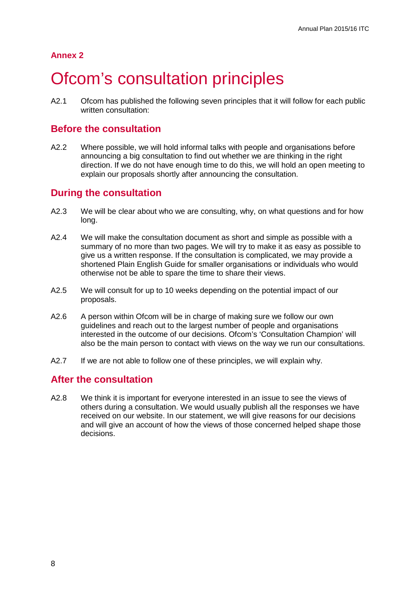# <span id="page-10-0"></span>**Ofcom's consultation principles**

A2.1 Ofcom has published the following seven principles that it will follow for each public written consultation:

### **Before the consultation**

A2.2 Where possible, we will hold informal talks with people and organisations before announcing a big consultation to find out whether we are thinking in the right direction. If we do not have enough time to do this, we will hold an open meeting to explain our proposals shortly after announcing the consultation.

### **During the consultation**

- A2.3 We will be clear about who we are consulting, why, on what questions and for how long.
- A2.4 We will make the consultation document as short and simple as possible with a summary of no more than two pages. We will try to make it as easy as possible to give us a written response. If the consultation is complicated, we may provide a shortened Plain English Guide for smaller organisations or individuals who would otherwise not be able to spare the time to share their views.
- A2.5 We will consult for up to 10 weeks depending on the potential impact of our proposals.
- A2.6 A person within Ofcom will be in charge of making sure we follow our own guidelines and reach out to the largest number of people and organisations interested in the outcome of our decisions. Ofcom's 'Consultation Champion' will also be the main person to contact with views on the way we run our consultations.
- A2.7 If we are not able to follow one of these principles, we will explain why.

### **After the consultation**

A2.8 We think it is important for everyone interested in an issue to see the views of others during a consultation. We would usually publish all the responses we have received on our website. In our statement, we will give reasons for our decisions and will give an account of how the views of those concerned helped shape those decisions.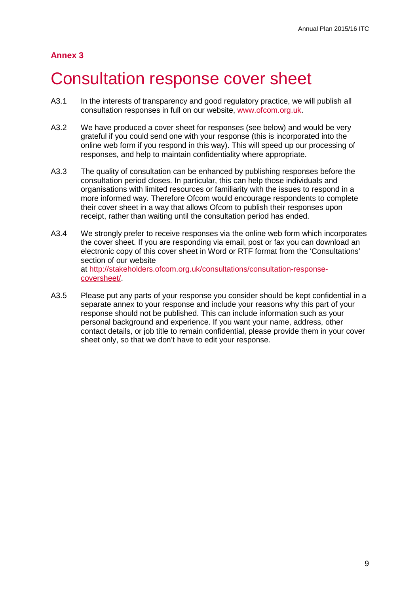## <span id="page-11-0"></span>3 Consultation response cover sheet

- A3.1 In the interests of transparency and good regulatory practice, we will publish all consultation responses in full on our website, [www.ofcom.org.uk.](http://www.ofcom.org.uk/)
- A3.2 We have produced a cover sheet for responses (see below) and would be very grateful if you could send one with your response (this is incorporated into the online web form if you respond in this way). This will speed up our processing of responses, and help to maintain confidentiality where appropriate.
- A3.3 The quality of consultation can be enhanced by publishing responses before the consultation period closes. In particular, this can help those individuals and organisations with limited resources or familiarity with the issues to respond in a more informed way. Therefore Ofcom would encourage respondents to complete their cover sheet in a way that allows Ofcom to publish their responses upon receipt, rather than waiting until the consultation period has ended.
- A3.4 We strongly prefer to receive responses via the online web form which incorporates the cover sheet. If you are responding via email, post or fax you can download an electronic copy of this cover sheet in Word or RTF format from the 'Consultations' section of our website at [http://stakeholders.ofcom.org.uk/consultations/consultation-response](http://stakeholders.ofcom.org.uk/consultations/consultation-response-coversheet/)[coversheet/.](http://stakeholders.ofcom.org.uk/consultations/consultation-response-coversheet/)
- A3.5 Please put any parts of your response you consider should be kept confidential in a separate annex to your response and include your reasons why this part of your response should not be published. This can include information such as your personal background and experience. If you want your name, address, other contact details, or job title to remain confidential, please provide them in your cover sheet only, so that we don't have to edit your response.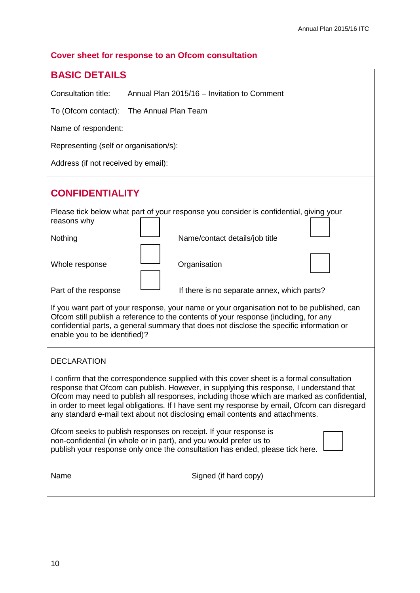### **Cover sheet for response to an Ofcom consultation**

| <b>BASIC DETAILS</b>                                                                                                                                                                                                                                                                                                                                                                                                                                                |  |  |  |
|---------------------------------------------------------------------------------------------------------------------------------------------------------------------------------------------------------------------------------------------------------------------------------------------------------------------------------------------------------------------------------------------------------------------------------------------------------------------|--|--|--|
| Consultation title:<br>Annual Plan 2015/16 - Invitation to Comment                                                                                                                                                                                                                                                                                                                                                                                                  |  |  |  |
| The Annual Plan Team<br>To (Ofcom contact):                                                                                                                                                                                                                                                                                                                                                                                                                         |  |  |  |
| Name of respondent:                                                                                                                                                                                                                                                                                                                                                                                                                                                 |  |  |  |
| Representing (self or organisation/s):                                                                                                                                                                                                                                                                                                                                                                                                                              |  |  |  |
| Address (if not received by email):                                                                                                                                                                                                                                                                                                                                                                                                                                 |  |  |  |
| <b>CONFIDENTIALITY</b>                                                                                                                                                                                                                                                                                                                                                                                                                                              |  |  |  |
| Please tick below what part of your response you consider is confidential, giving your<br>reasons why                                                                                                                                                                                                                                                                                                                                                               |  |  |  |
| Nothing<br>Name/contact details/job title                                                                                                                                                                                                                                                                                                                                                                                                                           |  |  |  |
| Whole response<br>Organisation                                                                                                                                                                                                                                                                                                                                                                                                                                      |  |  |  |
| Part of the response<br>If there is no separate annex, which parts?                                                                                                                                                                                                                                                                                                                                                                                                 |  |  |  |
| If you want part of your response, your name or your organisation not to be published, can<br>Ofcom still publish a reference to the contents of your response (including, for any<br>confidential parts, a general summary that does not disclose the specific information or<br>enable you to be identified)?                                                                                                                                                     |  |  |  |
| <b>DECLARATION</b>                                                                                                                                                                                                                                                                                                                                                                                                                                                  |  |  |  |
| I confirm that the correspondence supplied with this cover sheet is a formal consultation<br>response that Ofcom can publish. However, in supplying this response, I understand that<br>Ofcom may need to publish all responses, including those which are marked as confidential,<br>in order to meet legal obligations. If I have sent my response by email, Ofcom can disregard<br>any standard e-mail text about not disclosing email contents and attachments. |  |  |  |
| Ofcom seeks to publish responses on receipt. If your response is<br>non-confidential (in whole or in part), and you would prefer us to<br>publish your response only once the consultation has ended, please tick here.                                                                                                                                                                                                                                             |  |  |  |
| Name<br>Signed (if hard copy)                                                                                                                                                                                                                                                                                                                                                                                                                                       |  |  |  |